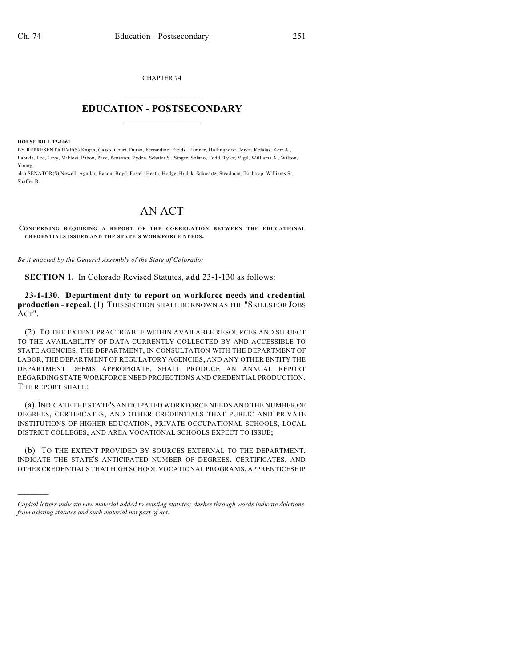CHAPTER 74  $\overline{\phantom{a}}$  . The set of the set of the set of the set of the set of the set of the set of the set of the set of the set of the set of the set of the set of the set of the set of the set of the set of the set of the set o

## **EDUCATION - POSTSECONDARY**  $\frac{1}{2}$  ,  $\frac{1}{2}$  ,  $\frac{1}{2}$  ,  $\frac{1}{2}$  ,  $\frac{1}{2}$  ,  $\frac{1}{2}$  ,  $\frac{1}{2}$

**HOUSE BILL 12-1061**

)))))

BY REPRESENTATIVE(S) Kagan, Casso, Court, Duran, Ferrandino, Fields, Hamner, Hullinghorst, Jones, Kefalas, Kerr A., Labuda, Lee, Levy, Miklosi, Pabon, Pace, Peniston, Ryden, Schafer S., Singer, Solano, Todd, Tyler, Vigil, Williams A., Wilson, Young;

also SENATOR(S) Newell, Aguilar, Bacon, Boyd, Foster, Heath, Hodge, Hudak, Schwartz, Steadman, Tochtrop, Williams S., Shaffer B.

## AN ACT

**CONCERNING REQUIRING A REPORT OF THE CORRELATION BETWEEN THE EDUCATIONAL CREDENTIALS ISSUED AND THE STATE'S WORKFORCE NEEDS.**

*Be it enacted by the General Assembly of the State of Colorado:*

**SECTION 1.** In Colorado Revised Statutes, **add** 23-1-130 as follows:

**23-1-130. Department duty to report on workforce needs and credential production - repeal.** (1) THIS SECTION SHALL BE KNOWN AS THE "SKILLS FOR JOBS ACT".

(2) TO THE EXTENT PRACTICABLE WITHIN AVAILABLE RESOURCES AND SUBJECT TO THE AVAILABILITY OF DATA CURRENTLY COLLECTED BY AND ACCESSIBLE TO STATE AGENCIES, THE DEPARTMENT, IN CONSULTATION WITH THE DEPARTMENT OF LABOR, THE DEPARTMENT OF REGULATORY AGENCIES, AND ANY OTHER ENTITY THE DEPARTMENT DEEMS APPROPRIATE, SHALL PRODUCE AN ANNUAL REPORT REGARDING STATE WORKFORCE NEED PROJECTIONS AND CREDENTIAL PRODUCTION. THE REPORT SHALL:

(a) INDICATE THE STATE'S ANTICIPATED WORKFORCE NEEDS AND THE NUMBER OF DEGREES, CERTIFICATES, AND OTHER CREDENTIALS THAT PUBLIC AND PRIVATE INSTITUTIONS OF HIGHER EDUCATION, PRIVATE OCCUPATIONAL SCHOOLS, LOCAL DISTRICT COLLEGES, AND AREA VOCATIONAL SCHOOLS EXPECT TO ISSUE;

(b) TO THE EXTENT PROVIDED BY SOURCES EXTERNAL TO THE DEPARTMENT, INDICATE THE STATE'S ANTICIPATED NUMBER OF DEGREES, CERTIFICATES, AND OTHER CREDENTIALS THAT HIGH SCHOOL VOCATIONAL PROGRAMS, APPRENTICESHIP

*Capital letters indicate new material added to existing statutes; dashes through words indicate deletions from existing statutes and such material not part of act.*